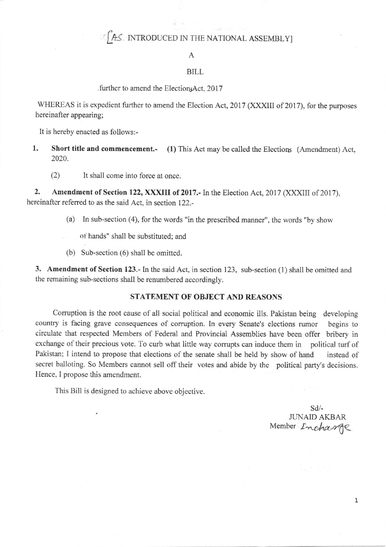## $\mathbb{C}$  AS. INTRODUCED IN THE NATIONAL ASSEMBLY]

#### A

#### BILL

#### . further to amend the ElectionsAct, 2017

WHEREAS it is expedient futher to amend the Election Act, 2017 (XXXIII of 2017), for the purposes hereinafter appearing;

It is hereby enacted as follows:-

- 1. Short title and commencement.- (1) This Act may be called the Elections (Amendment) Act, 2020.
	- (2) It shall come into force at once.

2. Amendment of Section 122, XXXIII of 2017.- In the Election Act, 2017 (XXXIII of 2017), hereinafter referred to as the said Act, in section 122.-

- (a) In sub-section (4), for the words "in the prescribed manner", the words "by show
	- ot hands" shall be substituted; and
- (b) Sub-section (6) shall be omitted.

3. Amendment of Section I23.- In the said Act, in section 123, sub-section (1) shall be omitted and the remaining sub-sections shall be renumbered accordingly.

### STATEMENT OF OBJECT AND REASONS

Corruption is the root cause of all social political and economic ills. Pakistan being developing country is facing grave consequences of corruption. In every Senate's elections rumor begins to circulate that respected Members of Federal and Provincial Assemblies have been offer bribery in exchange of their precious vote. To curb what little way corrupts can induce them in political turf of Pakistan; I intend to propose that elections of the senate shall be held by show of hand instead of secret balloting. So Members cannot sell off their votes and abide by the political party's decisions. Hence, I propose this amendment.

This Bill is designed to achieve above objective.

sd/- JUNAID AKBAR Member Incharge

1,